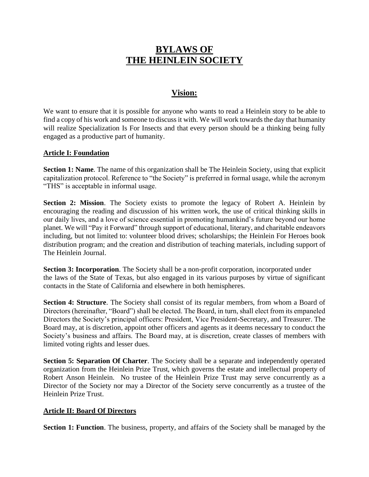# **BYLAWS OF THE HEINLEIN SOCIETY**

# **Vision:**

We want to ensure that it is possible for anyone who wants to read a Heinlein story to be able to find a copy of his work and someone to discuss it with. We will work towards the day that humanity will realize Specialization Is For Insects and that every person should be a thinking being fully engaged as a productive part of humanity.

#### **Article I: Foundation**

**Section 1: Name**. The name of this organization shall be The Heinlein Society, using that explicit capitalization protocol. Reference to "the Society" is preferred in formal usage, while the acronym "THS" is acceptable in informal usage.

**Section 2: Mission**. The Society exists to promote the legacy of Robert A. Heinlein by encouraging the reading and discussion of his written work, the use of critical thinking skills in our daily lives, and a love of science essential in promoting humankind's future beyond our home planet. We will "Pay it Forward" through support of educational, literary, and charitable endeavors including, but not limited to: volunteer blood drives; scholarships; the Heinlein For Heroes book distribution program; and the creation and distribution of teaching materials, including support of The Heinlein Journal.

**Section 3: Incorporation**. The Society shall be a non-profit corporation, incorporated under the laws of the State of Texas, but also engaged in its various purposes by virtue of significant contacts in the State of California and elsewhere in both hemispheres.

**Section 4: Structure**. The Society shall consist of its regular members, from whom a Board of Directors (hereinafter, "Board") shall be elected. The Board, in turn, shall elect from its empaneled Directors the Society's principal officers: President, Vice President-Secretary, and Treasurer. The Board may, at is discretion, appoint other officers and agents as it deems necessary to conduct the Society's business and affairs. The Board may, at is discretion, create classes of members with limited voting rights and lesser dues.

**Section 5: Separation Of Charter**. The Society shall be a separate and independently operated organization from the Heinlein Prize Trust, which governs the estate and intellectual property of Robert Anson Heinlein. No trustee of the Heinlein Prize Trust may serve concurrently as a Director of the Society nor may a Director of the Society serve concurrently as a trustee of the Heinlein Prize Trust.

## **Article II: Board Of Directors**

**Section 1: Function**. The business, property, and affairs of the Society shall be managed by the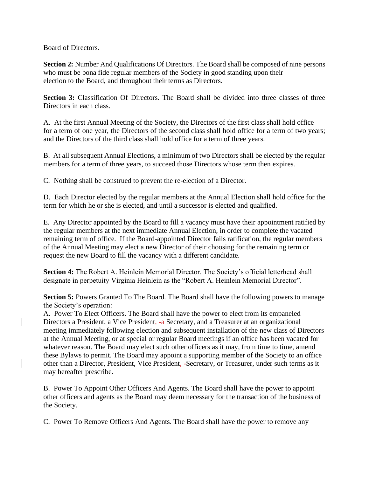Board of Directors.

**Section 2:** Number And Qualifications Of Directors. The Board shall be composed of nine persons who must be bona fide regular members of the Society in good standing upon their election to the Board, and throughout their terms as Directors.

**Section 3:** Classification Of Directors. The Board shall be divided into three classes of three Directors in each class.

A. At the first Annual Meeting of the Society, the Directors of the first class shall hold office for a term of one year, the Directors of the second class shall hold office for a term of two years; and the Directors of the third class shall hold office for a term of three years.

B. At all subsequent Annual Elections, a minimum of two Directors shall be elected by the regular members for a term of three years, to succeed those Directors whose term then expires.

C. Nothing shall be construed to prevent the re-election of a Director.

D. Each Director elected by the regular members at the Annual Election shall hold office for the term for which he or she is elected, and until a successor is elected and qualified.

E. Any Director appointed by the Board to fill a vacancy must have their appointment ratified by the regular members at the next immediate Annual Election, in order to complete the vacated remaining term of office. If the Board-appointed Director fails ratification, the regular members of the Annual Meeting may elect a new Director of their choosing for the remaining term or request the new Board to fill the vacancy with a different candidate.

**Section 4:** The Robert A. Heinlein Memorial Director. The Society's official letterhead shall designate in perpetuity Virginia Heinlein as the "Robert A. Heinlein Memorial Director".

**Section 5:** Powers Granted To The Board. The Board shall have the following powers to manage the Society's operation:

A. Power To Elect Officers. The Board shall have the power to elect from its empaneled Directors a President, a Vice President, -a Secretary, and a Treasurer at an organizational meeting immediately following election and subsequent installation of the new class of Directors at the Annual Meeting, or at special or regular Board meetings if an office has been vacated for whatever reason. The Board may elect such other officers as it may, from time to time, amend these Bylaws to permit. The Board may appoint a supporting member of the Society to an office other than a Director, President, Vice President, -Secretary, or Treasurer, under such terms as it may hereafter prescribe.

B. Power To Appoint Other Officers And Agents. The Board shall have the power to appoint other officers and agents as the Board may deem necessary for the transaction of the business of the Society.

C. Power To Remove Officers And Agents. The Board shall have the power to remove any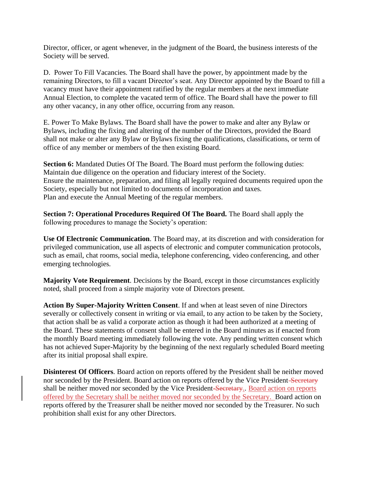Director, officer, or agent whenever, in the judgment of the Board, the business interests of the Society will be served.

D. Power To Fill Vacancies. The Board shall have the power, by appointment made by the remaining Directors, to fill a vacant Director's seat. Any Director appointed by the Board to fill a vacancy must have their appointment ratified by the regular members at the next immediate Annual Election, to complete the vacated term of office. The Board shall have the power to fill any other vacancy, in any other office, occurring from any reason.

E. Power To Make Bylaws. The Board shall have the power to make and alter any Bylaw or Bylaws, including the fixing and altering of the number of the Directors, provided the Board shall not make or alter any Bylaw or Bylaws fixing the qualifications, classifications, or term of office of any member or members of the then existing Board.

**Section 6:** Mandated Duties Of The Board. The Board must perform the following duties: Maintain due diligence on the operation and fiduciary interest of the Society. Ensure the maintenance, preparation, and filing all legally required documents required upon the Society, especially but not limited to documents of incorporation and taxes. Plan and execute the Annual Meeting of the regular members.

**Section 7: Operational Procedures Required Of The Board.** The Board shall apply the following procedures to manage the Society's operation:

**Use Of Electronic Communication**. The Board may, at its discretion and with consideration for privileged communication, use all aspects of electronic and computer communication protocols, such as email, chat rooms, social media, telephone conferencing, video conferencing, and other emerging technologies.

**Majority Vote Requirement**. Decisions by the Board, except in those circumstances explicitly noted, shall proceed from a simple majority vote of Directors present.

**Action By Super-Majority Written Consent**. If and when at least seven of nine Directors severally or collectively consent in writing or via email, to any action to be taken by the Society, that action shall be as valid a corporate action as though it had been authorized at a meeting of the Board. These statements of consent shall be entered in the Board minutes as if enacted from the monthly Board meeting immediately following the vote. Any pending written consent which has not achieved Super-Majority by the beginning of the next regularly scheduled Board meeting after its initial proposal shall expire.

**Disinterest Of Officers**. Board action on reports offered by the President shall be neither moved nor seconded by the President. Board action on reports offered by the Vice President-Secretary shall be neither moved nor seconded by the Vice President-Secretary.. Board action on reports offered by the Secretary shall be neither moved nor seconded by the Secretary. Board action on reports offered by the Treasurer shall be neither moved nor seconded by the Treasurer. No such prohibition shall exist for any other Directors.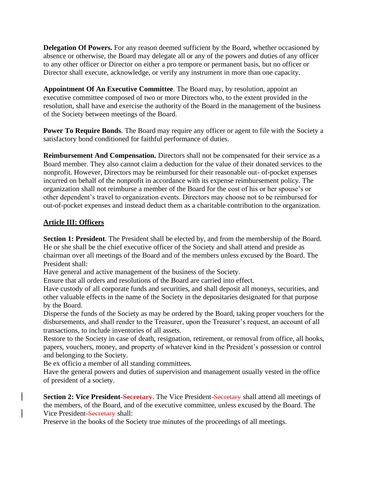**Delegation Of Powers.** For any reason deemed sufficient by the Board, whether occasioned by absence or otherwise, the Board may delegate all or any of the powers and duties of any officer to any other officer or Director on either a pro tempore or permanent basis, but no officer or Director shall execute, acknowledge, or verify any instrument in more than one capacity.

**Appointment Of An Executive Committee**. The Board may, by resolution, appoint an executive committee composed of two or more Directors who, to the extent provided in the resolution, shall have and exercise the authority of the Board in the management of the business of the Society between meetings of the Board.

**Power To Require Bonds**. The Board may require any officer or agent to file with the Society a satisfactory bond conditioned for faithful performance of duties.

**Reimbursement And Compensation.** Directors shall not be compensated for their service as a Board member. They also cannot claim a deduction for the value of their donated services to the nonprofit. However, Directors may be reimbursed for their reasonable out- of-pocket expenses incurred on behalf of the nonprofit in accordance with its expense reimbursement policy. The organization shall not reimburse a member of the Board for the cost of his or her spouse's or other dependent's travel to organization events. Directors may choose not to be reimbursed for out-of-pocket expenses and instead deduct them as a charitable contribution to the organization.

## **Article III: Officers**

**Section 1: President**. The President shall be elected by, and from the membership of the Board. He or she shall be the chief executive officer of the Society and shall attend and preside as chairman over all meetings of the Board and of the members unless excused by the Board. The President shall:

Have general and active management of the business of the Society.

Ensure that all orders and resolutions of the Board are carried into effect.

Have custody of all corporate funds and securities, and shall deposit all moneys, securities, and other valuable effects in the name of the Society in the depositaries designated for that purpose by the Board.

Disperse the funds of the Society as may be ordered by the Board, taking proper vouchers for the disbursements, and shall render to the Treasurer, upon the Treasurer's request, an account of all transactions, to include inventories of all assets.

Restore to the Society in case of death, resignation, retirement, or removal from office, all books, papers, vouchers, money, and property of whatever kind in the President's possession or control and belonging to the Society.

Be ex officio a member of all standing committees.

Have the general powers and duties of supervision and management usually vested in the office of president of a society.

**Section 2: Vice President-Secretary**. The Vice President-Secretary shall attend all meetings of the members, of the Board, and of the executive committee, unless excused by the Board. The Vice President-Secretary shall:

Preserve in the books of the Society true minutes of the proceedings of all meetings.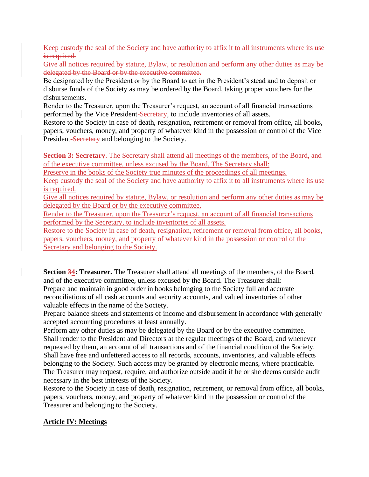Keep custody the seal of the Society and have authority to affix it to all instruments where its use is required.

Give all notices required by statute, Bylaw, or resolution and perform any other duties as may be delegated by the Board or by the executive committee.

Be designated by the President or by the Board to act in the President's stead and to deposit or disburse funds of the Society as may be ordered by the Board, taking proper vouchers for the disbursements.

Render to the Treasurer, upon the Treasurer's request, an account of all financial transactions performed by the Vice President-Secretary, to include inventories of all assets.

Restore to the Society in case of death, resignation, retirement or removal from office, all books, papers, vouchers, money, and property of whatever kind in the possession or control of the Vice President-Secretary and belonging to the Society.

**Section 3: Secretary**. The Secretary shall attend all meetings of the members, of the Board, and of the executive committee, unless excused by the Board. The Secretary shall:

Preserve in the books of the Society true minutes of the proceedings of all meetings.

Keep custody the seal of the Society and have authority to affix it to all instruments where its use is required.

Give all notices required by statute, Bylaw, or resolution and perform any other duties as may be delegated by the Board or by the executive committee.

Render to the Treasurer, upon the Treasurer's request, an account of all financial transactions performed by the Secretary, to include inventories of all assets.

Restore to the Society in case of death, resignation, retirement or removal from office, all books, papers, vouchers, money, and property of whatever kind in the possession or control of the Secretary and belonging to the Society.

**Section 34: Treasurer.** The Treasurer shall attend all meetings of the members, of the Board, and of the executive committee, unless excused by the Board. The Treasurer shall: Prepare and maintain in good order in books belonging to the Society full and accurate reconciliations of all cash accounts and security accounts, and valued inventories of other valuable effects in the name of the Society.

Prepare balance sheets and statements of income and disbursement in accordance with generally accepted accounting procedures at least annually.

Perform any other duties as may be delegated by the Board or by the executive committee. Shall render to the President and Directors at the regular meetings of the Board, and whenever requested by them, an account of all transactions and of the financial condition of the Society. Shall have free and unfettered access to all records, accounts, inventories, and valuable effects belonging to the Society. Such access may be granted by electronic means, where practicable. The Treasurer may request, require, and authorize outside audit if he or she deems outside audit necessary in the best interests of the Society.

Restore to the Society in case of death, resignation, retirement, or removal from office, all books, papers, vouchers, money, and property of whatever kind in the possession or control of the Treasurer and belonging to the Society.

## **Article IV: Meetings**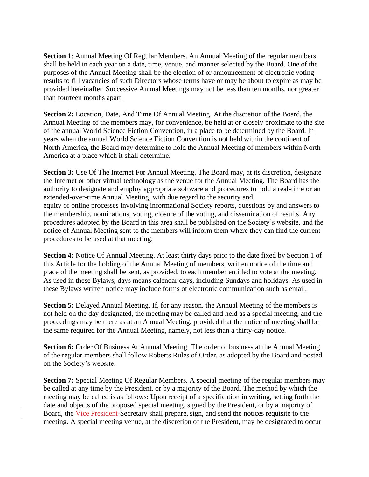**Section 1**: Annual Meeting Of Regular Members. An Annual Meeting of the regular members shall be held in each year on a date, time, venue, and manner selected by the Board. One of the purposes of the Annual Meeting shall be the election of or announcement of electronic voting results to fill vacancies of such Directors whose terms have or may be about to expire as may be provided hereinafter. Successive Annual Meetings may not be less than ten months, nor greater than fourteen months apart.

**Section 2:** Location, Date, And Time Of Annual Meeting. At the discretion of the Board, the Annual Meeting of the members may, for convenience, be held at or closely proximate to the site of the annual World Science Fiction Convention, in a place to be determined by the Board. In years when the annual World Science Fiction Convention is not held within the continent of North America, the Board may determine to hold the Annual Meeting of members within North America at a place which it shall determine.

**Section 3:** Use Of The Internet For Annual Meeting. The Board may, at its discretion, designate the Internet or other virtual technology as the venue for the Annual Meeting. The Board has the authority to designate and employ appropriate software and procedures to hold a real-time or an extended-over-time Annual Meeting, with due regard to the security and equity of online processes involving informational Society reports, questions by and answers to the membership, nominations, voting, closure of the voting, and dissemination of results. Any procedures adopted by the Board in this area shall be published on the Society's website, and the notice of Annual Meeting sent to the members will inform them where they can find the current procedures to be used at that meeting.

**Section 4:** Notice Of Annual Meeting. At least thirty days prior to the date fixed by Section 1 of this Article for the holding of the Annual Meeting of members, written notice of the time and place of the meeting shall be sent, as provided, to each member entitled to vote at the meeting. As used in these Bylaws, days means calendar days, including Sundays and holidays. As used in these Bylaws written notice may include forms of electronic communication such as email.

**Section 5:** Delayed Annual Meeting. If, for any reason, the Annual Meeting of the members is not held on the day designated, the meeting may be called and held as a special meeting, and the proceedings may be there as at an Annual Meeting, provided that the notice of meeting shall be the same required for the Annual Meeting, namely, not less than a thirty-day notice.

**Section 6:** Order Of Business At Annual Meeting. The order of business at the Annual Meeting of the regular members shall follow Roberts Rules of Order, as adopted by the Board and posted on the Society's website.

**Section 7:** Special Meeting Of Regular Members. A special meeting of the regular members may be called at any time by the President, or by a majority of the Board. The method by which the meeting may be called is as follows: Upon receipt of a specification in writing, setting forth the date and objects of the proposed special meeting, signed by the President, or by a majority of Board, the Vice President-Secretary shall prepare, sign, and send the notices requisite to the meeting. A special meeting venue, at the discretion of the President, may be designated to occur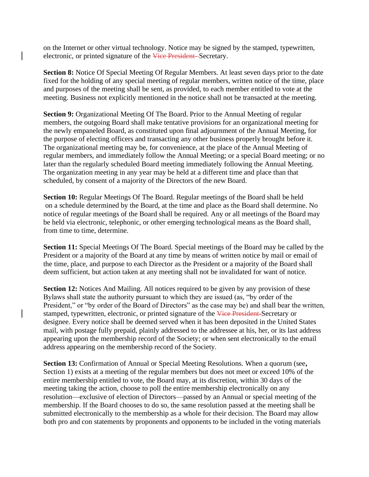on the Internet or other virtual technology. Notice may be signed by the stamped, typewritten, electronic, or printed signature of the Vice President-Secretary.

**Section 8:** Notice Of Special Meeting Of Regular Members. At least seven days prior to the date fixed for the holding of any special meeting of regular members, written notice of the time, place and purposes of the meeting shall be sent, as provided, to each member entitled to vote at the meeting. Business not explicitly mentioned in the notice shall not be transacted at the meeting.

**Section 9:** Organizational Meeting Of The Board. Prior to the Annual Meeting of regular members, the outgoing Board shall make tentative provisions for an organizational meeting for the newly empaneled Board, as constituted upon final adjournment of the Annual Meeting, for the purpose of electing officers and transacting any other business properly brought before it. The organizational meeting may be, for convenience, at the place of the Annual Meeting of regular members, and immediately follow the Annual Meeting; or a special Board meeting; or no later than the regularly scheduled Board meeting immediately following the Annual Meeting. The organization meeting in any year may be held at a different time and place than that scheduled, by consent of a majority of the Directors of the new Board.

**Section 10:** Regular Meetings Of The Board. Regular meetings of the Board shall be held on a schedule determined by the Board, at the time and place as the Board shall determine. No notice of regular meetings of the Board shall be required. Any or all meetings of the Board may be held via electronic, telephonic, or other emerging technological means as the Board shall, from time to time, determine.

**Section 11:** Special Meetings Of The Board. Special meetings of the Board may be called by the President or a majority of the Board at any time by means of written notice by mail or email of the time, place, and purpose to each Director as the President or a majority of the Board shall deem sufficient, but action taken at any meeting shall not be invalidated for want of notice.

**Section 12:** Notices And Mailing. All notices required to be given by any provision of these Bylaws shall state the authority pursuant to which they are issued (as, "by order of the President," or "by order of the Board of Directors" as the case may be) and shall bear the written, stamped, typewritten, electronic, or printed signature of the Vice President-Secretary or designee. Every notice shall be deemed served when it has been deposited in the United States mail, with postage fully prepaid, plainly addressed to the addressee at his, her, or its last address appearing upon the membership record of the Society; or when sent electronically to the email address appearing on the membership record of the Society.

**Section 13:** Confirmation of Annual or Special Meeting Resolutions. When a quorum (see**,** Section 1) exists at a meeting of the regular members but does not meet or exceed 10% of the entire membership entitled to vote, the Board may, at its discretion, within 30 days of the meeting taking the action, choose to poll the entire membership electronically on any resolution—exclusive of election of Directors—passed by an Annual or special meeting of the membership. If the Board chooses to do so, the same resolution passed at the meeting shall be submitted electronically to the membership as a whole for their decision. The Board may allow both pro and con statements by proponents and opponents to be included in the voting materials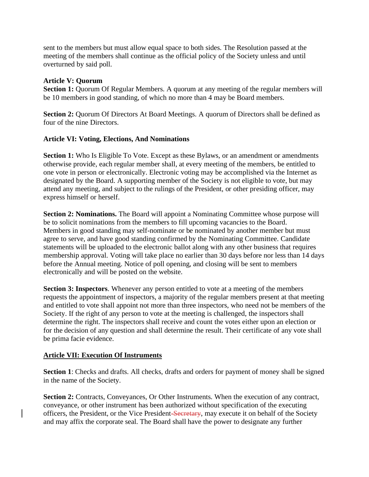sent to the members but must allow equal space to both sides. The Resolution passed at the meeting of the members shall continue as the official policy of the Society unless and until overturned by said poll.

#### **Article V: Quorum**

**Section 1:** Quorum Of Regular Members. A quorum at any meeting of the regular members will be 10 members in good standing, of which no more than 4 may be Board members.

**Section 2:** Quorum Of Directors At Board Meetings. A quorum of Directors shall be defined as four of the nine Directors.

#### **Article VI: Voting, Elections, And Nominations**

**Section 1:** Who Is Eligible To Vote. Except as these Bylaws, or an amendment or amendments otherwise provide, each regular member shall, at every meeting of the members, be entitled to one vote in person or electronically. Electronic voting may be accomplished via the Internet as designated by the Board. A supporting member of the Society is not eligible to vote, but may attend any meeting, and subject to the rulings of the President, or other presiding officer, may express himself or herself.

**Section 2: Nominations.** The Board will appoint a Nominating Committee whose purpose will be to solicit nominations from the members to fill upcoming vacancies to the Board. Members in good standing may self-nominate or be nominated by another member but must agree to serve, and have good standing confirmed by the Nominating Committee. Candidate statements will be uploaded to the electronic ballot along with any other business that requires membership approval. Voting will take place no earlier than 30 days before nor less than 14 days before the Annual meeting. Notice of poll opening, and closing will be sent to members electronically and will be posted on the website.

**Section 3: Inspectors.** Whenever any person entitled to vote at a meeting of the members requests the appointment of inspectors, a majority of the regular members present at that meeting and entitled to vote shall appoint not more than three inspectors, who need not be members of the Society. If the right of any person to vote at the meeting is challenged, the inspectors shall determine the right. The inspectors shall receive and count the votes either upon an election or for the decision of any question and shall determine the result. Their certificate of any vote shall be prima facie evidence.

#### **Article VII: Execution Of Instruments**

**Section 1**: Checks and drafts. All checks, drafts and orders for payment of money shall be signed in the name of the Society.

**Section 2:** Contracts, Conveyances, Or Other Instruments. When the execution of any contract, conveyance, or other instrument has been authorized without specification of the executing officers, the President, or the Vice President-Secretary, may execute it on behalf of the Society and may affix the corporate seal. The Board shall have the power to designate any further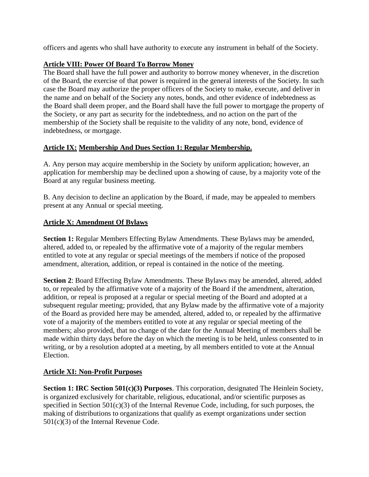officers and agents who shall have authority to execute any instrument in behalf of the Society.

# **Article VIII: Power Of Board To Borrow Money**

The Board shall have the full power and authority to borrow money whenever, in the discretion of the Board, the exercise of that power is required in the general interests of the Society. In such case the Board may authorize the proper officers of the Society to make, execute, and deliver in the name and on behalf of the Society any notes, bonds, and other evidence of indebtedness as the Board shall deem proper, and the Board shall have the full power to mortgage the property of the Society, or any part as security for the indebtedness, and no action on the part of the membership of the Society shall be requisite to the validity of any note, bond, evidence of indebtedness, or mortgage.

# **Article IX: Membership And Dues Section 1: Regular Membership.**

A. Any person may acquire membership in the Society by uniform application; however, an application for membership may be declined upon a showing of cause, by a majority vote of the Board at any regular business meeting.

B. Any decision to decline an application by the Board, if made, may be appealed to members present at any Annual or special meeting.

## **Article X: Amendment Of Bylaws**

**Section 1:** Regular Members Effecting Bylaw Amendments. These Bylaws may be amended, altered, added to, or repealed by the affirmative vote of a majority of the regular members entitled to vote at any regular or special meetings of the members if notice of the proposed amendment, alteration, addition, or repeal is contained in the notice of the meeting.

**Section 2**: Board Effecting Bylaw Amendments. These Bylaws may be amended, altered, added to, or repealed by the affirmative vote of a majority of the Board if the amendment, alteration, addition, or repeal is proposed at a regular or special meeting of the Board and adopted at a subsequent regular meeting; provided, that any Bylaw made by the affirmative vote of a majority of the Board as provided here may be amended, altered, added to, or repealed by the affirmative vote of a majority of the members entitled to vote at any regular or special meeting of the members; also provided, that no change of the date for the Annual Meeting of members shall be made within thirty days before the day on which the meeting is to be held, unless consented to in writing, or by a resolution adopted at a meeting, by all members entitled to vote at the Annual Election.

# **Article XI: Non-Profit Purposes**

**Section 1: IRC Section 501(c)(3) Purposes**. This corporation, designated The Heinlein Society, is organized exclusively for charitable, religious, educational, and/or scientific purposes as specified in Section  $501(c)(3)$  of the Internal Revenue Code, including, for such purposes, the making of distributions to organizations that qualify as exempt organizations under section 501(c)(3) of the Internal Revenue Code.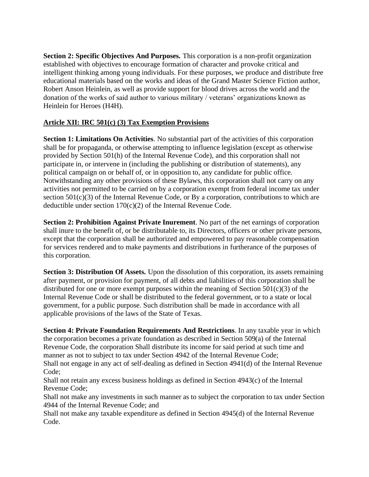**Section 2: Specific Objectives And Purposes.** This corporation is a non-profit organization established with objectives to encourage formation of character and provoke critical and intelligent thinking among young individuals. For these purposes, we produce and distribute free educational materials based on the works and ideas of the Grand Master Science Fiction author, Robert Anson Heinlein, as well as provide support for blood drives across the world and the donation of the works of said author to various military / veterans' organizations known as Heinlein for Heroes (H4H).

# **Article XII: IRC 501(c) (3) Tax Exemption Provisions**

**Section 1: Limitations On Activities**. No substantial part of the activities of this corporation shall be for propaganda, or otherwise attempting to influence legislation (except as otherwise provided by Section 501(h) of the Internal Revenue Code), and this corporation shall not participate in, or intervene in (including the publishing or distribution of statements), any political campaign on or behalf of, or in opposition to, any candidate for public office. Notwithstanding any other provisions of these Bylaws, this corporation shall not carry on any activities not permitted to be carried on by a corporation exempt from federal income tax under section 501(c)(3) of the Internal Revenue Code, or By a corporation, contributions to which are deductible under section  $170(c)(2)$  of the Internal Revenue Code.

**Section 2: Prohibition Against Private Inurement**. No part of the net earnings of corporation shall inure to the benefit of, or be distributable to, its Directors, officers or other private persons, except that the corporation shall be authorized and empowered to pay reasonable compensation for services rendered and to make payments and distributions in furtherance of the purposes of this corporation.

**Section 3: Distribution Of Assets.** Upon the dissolution of this corporation, its assets remaining after payment, or provision for payment, of all debts and liabilities of this corporation shall be distributed for one or more exempt purposes within the meaning of Section  $501(c)(3)$  of the Internal Revenue Code or shall be distributed to the federal government, or to a state or local government, for a public purpose. Such distribution shall be made in accordance with all applicable provisions of the laws of the State of Texas.

**Section 4: Private Foundation Requirements And Restrictions**. In any taxable year in which the corporation becomes a private foundation as described in Section 509(a) of the Internal Revenue Code, the corporation Shall distribute its income for said period at such time and manner as not to subject to tax under Section 4942 of the Internal Revenue Code; Shall not engage in any act of self-dealing as defined in Section 4941(d) of the Internal Revenue Code;

Shall not retain any excess business holdings as defined in Section 4943(c) of the Internal Revenue Code;

Shall not make any investments in such manner as to subject the corporation to tax under Section 4944 of the Internal Revenue Code; and

Shall not make any taxable expenditure as defined in Section 4945(d) of the Internal Revenue Code.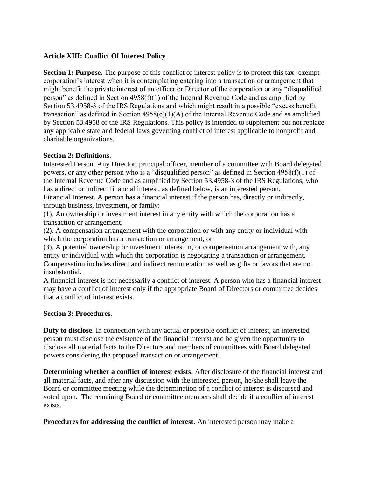## **Article XIII: Conflict Of Interest Policy**

**Section 1: Purpose.** The purpose of this conflict of interest policy is to protect this tax- exempt corporation's interest when it is contemplating entering into a transaction or arrangement that might benefit the private interest of an officer or Director of the corporation or any "disqualified person" as defined in Section 4958(f)(1) of the Internal Revenue Code and as amplified by Section 53.4958-3 of the IRS Regulations and which might result in a possible "excess benefit transaction" as defined in Section  $4958(c)(1)(A)$  of the Internal Revenue Code and as amplified by Section 53.4958 of the IRS Regulations. This policy is intended to supplement but not replace any applicable state and federal laws governing conflict of interest applicable to nonprofit and charitable organizations.

## **Section 2: Definitions**.

Interested Person. Any Director, principal officer, member of a committee with Board delegated powers, or any other person who is a "disqualified person" as defined in Section 4958(f)(1) of the Internal Revenue Code and as amplified by Section 53.4958-3 of the IRS Regulations, who has a direct or indirect financial interest, as defined below, is an interested person. Financial Interest. A person has a financial interest if the person has, directly or indirectly, through business, investment, or family:

(1). An ownership or investment interest in any entity with which the corporation has a transaction or arrangement,

(2). A compensation arrangement with the corporation or with any entity or individual with which the corporation has a transaction or arrangement, or

(3). A potential ownership or investment interest in, or compensation arrangement with, any entity or individual with which the corporation is negotiating a transaction or arrangement. Compensation includes direct and indirect remuneration as well as gifts or favors that are not insubstantial.

A financial interest is not necessarily a conflict of interest. A person who has a financial interest may have a conflict of interest only if the appropriate Board of Directors or committee decides that a conflict of interest exists.

#### **Section 3: Procedures.**

**Duty to disclose**. In connection with any actual or possible conflict of interest, an interested person must disclose the existence of the financial interest and be given the opportunity to disclose all material facts to the Directors and members of committees with Board delegated powers considering the proposed transaction or arrangement.

**Determining whether a conflict of interest exists**. After disclosure of the financial interest and all material facts, and after any discussion with the interested person, he/she shall leave the Board or committee meeting while the determination of a conflict of interest is discussed and voted upon. The remaining Board or committee members shall decide if a conflict of interest exists.

**Procedures for addressing the conflict of interest**. An interested person may make a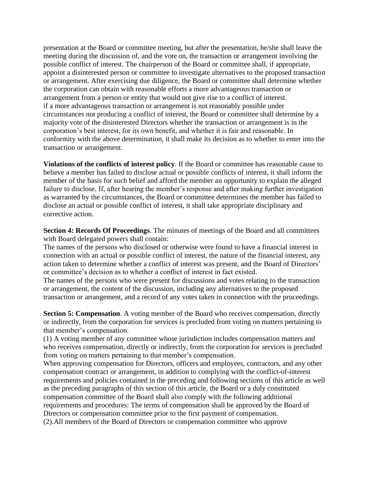presentation at the Board or committee meeting, but after the presentation, he/she shall leave the meeting during the discussion of, and the vote on, the transaction or arrangement involving the possible conflict of interest. The chairperson of the Board or committee shall, if appropriate, appoint a disinterested person or committee to investigate alternatives to the proposed transaction or arrangement. After exercising due diligence, the Board or committee shall determine whether the corporation can obtain with reasonable efforts a more advantageous transaction or arrangement from a person or entity that would not give rise to a conflict of interest. if a more advantageous transaction or arrangement is not reasonably possible under circumstances not producing a conflict of interest, the Board or committee shall determine by a majority vote of the disinterested Directors whether the transaction or arrangement is in the corporation's best interest, for its own benefit, and whether it is fair and reasonable. In conformity with the above determination, it shall make its decision as to whether to enter into the transaction or arrangement.

**Violations of the conflicts of interest policy**. If the Board or committee has reasonable cause to believe a member has failed to disclose actual or possible conflicts of interest, it shall inform the member of the basis for such belief and afford the member an opportunity to explain the alleged failure to disclose. If, after hearing the member's response and after making further investigation as warranted by the circumstances, the Board or committee determines the member has failed to disclose an actual or possible conflict of interest, it shall take appropriate disciplinary and corrective action.

**Section 4: Records Of Proceedings**. The minutes of meetings of the Board and all committees with Board delegated powers shall contain:

The names of the persons who disclosed or otherwise were found to have a financial interest in connection with an actual or possible conflict of interest, the nature of the financial interest, any action taken to determine whether a conflict of interest was present, and the Board of Directors' or committee's decision as to whether a conflict of interest in fact existed.

The names of the persons who were present for discussions and votes relating to the transaction or arrangement, the content of the discussion, including any alternatives to the proposed transaction or arrangement, and a record of any votes taken in connection with the proceedings.

**Section 5: Compensation.** A voting member of the Board who receives compensation, directly or indirectly, from the corporation for services is precluded from voting on matters pertaining to that member's compensation.

(1) A voting member of any committee whose jurisdiction includes compensation matters and who receives compensation, directly or indirectly, from the corporation for services is precluded from voting on matters pertaining to that member's compensation.

When approving compensation for Directors, officers and employees, contractors, and any other compensation contract or arrangement, in addition to complying with the conflict-of-interest requirements and policies contained in the preceding and following sections of this article as well as the preceding paragraphs of this section of this article, the Board or a duly constituted compensation committee of the Board shall also comply with the following additional requirements and procedures: The terms of compensation shall be approved by the Board of Directors or compensation committee prior to the first payment of compensation. (2).All members of the Board of Directors or compensation committee who approve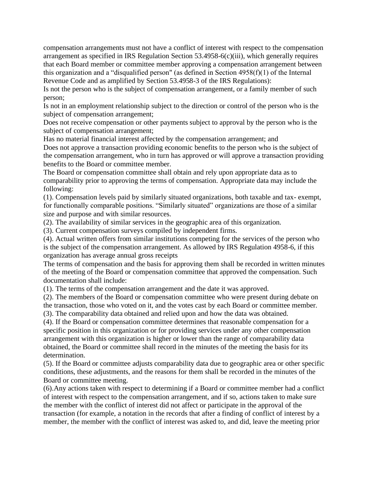compensation arrangements must not have a conflict of interest with respect to the compensation arrangement as specified in IRS Regulation Section 53.4958-6(c)(iii), which generally requires that each Board member or committee member approving a compensation arrangement between this organization and a "disqualified person" (as defined in Section 4958(f)(1) of the Internal Revenue Code and as amplified by Section 53.4958-3 of the IRS Regulations):

Is not the person who is the subject of compensation arrangement, or a family member of such person;

Is not in an employment relationship subject to the direction or control of the person who is the subject of compensation arrangement;

Does not receive compensation or other payments subject to approval by the person who is the subject of compensation arrangement;

Has no material financial interest affected by the compensation arrangement; and

Does not approve a transaction providing economic benefits to the person who is the subject of the compensation arrangement, who in turn has approved or will approve a transaction providing benefits to the Board or committee member.

The Board or compensation committee shall obtain and rely upon appropriate data as to comparability prior to approving the terms of compensation. Appropriate data may include the following:

(1). Compensation levels paid by similarly situated organizations, both taxable and tax- exempt, for functionally comparable positions. "Similarly situated" organizations are those of a similar size and purpose and with similar resources.

(2). The availability of similar services in the geographic area of this organization.

(3). Current compensation surveys compiled by independent firms.

(4). Actual written offers from similar institutions competing for the services of the person who is the subject of the compensation arrangement. As allowed by IRS Regulation 4958-6, if this organization has average annual gross receipts

The terms of compensation and the basis for approving them shall be recorded in written minutes of the meeting of the Board or compensation committee that approved the compensation. Such documentation shall include:

(1). The terms of the compensation arrangement and the date it was approved.

(2). The members of the Board or compensation committee who were present during debate on the transaction, those who voted on it, and the votes cast by each Board or committee member.

(3). The comparability data obtained and relied upon and how the data was obtained.

(4). If the Board or compensation committee determines that reasonable compensation for a specific position in this organization or for providing services under any other compensation arrangement with this organization is higher or lower than the range of comparability data obtained, the Board or committee shall record in the minutes of the meeting the basis for its determination.

(5). If the Board or committee adjusts comparability data due to geographic area or other specific conditions, these adjustments, and the reasons for them shall be recorded in the minutes of the Board or committee meeting.

(6).Any actions taken with respect to determining if a Board or committee member had a conflict of interest with respect to the compensation arrangement, and if so, actions taken to make sure the member with the conflict of interest did not affect or participate in the approval of the transaction (for example, a notation in the records that after a finding of conflict of interest by a member, the member with the conflict of interest was asked to, and did, leave the meeting prior